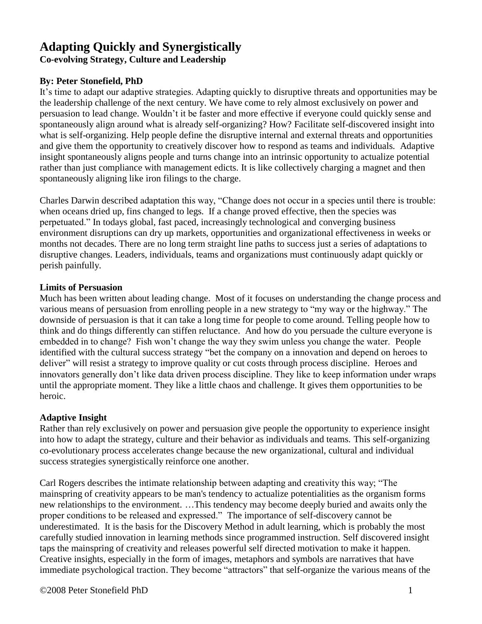# **Adapting Quickly and Synergistically**

**Co-evolving Strategy, Culture and Leadership**

### **By: Peter Stonefield, PhD**

It's time to adapt our adaptive strategies. Adapting quickly to disruptive threats and opportunities may be the leadership challenge of the next century. We have come to rely almost exclusively on power and persuasion to lead change. Wouldn't it be faster and more effective if everyone could quickly sense and spontaneously align around what is already self-organizing? How? Facilitate self-discovered insight into what is self-organizing. Help people define the disruptive internal and external threats and opportunities and give them the opportunity to creatively discover how to respond as teams and individuals. Adaptive insight spontaneously aligns people and turns change into an intrinsic opportunity to actualize potential rather than just compliance with management edicts. It is like collectively charging a magnet and then spontaneously aligning like iron filings to the charge.

Charles Darwin described adaptation this way, "Change does not occur in a species until there is trouble: when oceans dried up, fins changed to legs. If a change proved effective, then the species was perpetuated." In todays global, fast paced, increasingly technological and converging business environment disruptions can dry up markets, opportunities and organizational effectiveness in weeks or months not decades. There are no long term straight line paths to success just a series of adaptations to disruptive changes. Leaders, individuals, teams and organizations must continuously adapt quickly or perish painfully.

### **Limits of Persuasion**

Much has been written about leading change. Most of it focuses on understanding the change process and various means of persuasion from enrolling people in a new strategy to "my way or the highway." The downside of persuasion is that it can take a long time for people to come around. Telling people how to think and do things differently can stiffen reluctance. And how do you persuade the culture everyone is embedded in to change? Fish won't change the way they swim unless you change the water. People identified with the cultural success strategy "bet the company on a innovation and depend on heroes to deliver" will resist a strategy to improve quality or cut costs through process discipline. Heroes and innovators generally don't like data driven process discipline. They like to keep information under wraps until the appropriate moment. They like a little chaos and challenge. It gives them opportunities to be heroic.

### **Adaptive Insight**

Rather than rely exclusively on power and persuasion give people the opportunity to experience insight into how to adapt the strategy, culture and their behavior as individuals and teams. This self-organizing co-evolutionary process accelerates change because the new organizational, cultural and individual success strategies synergistically reinforce one another.

Carl Rogers describes the intimate relationship between adapting and creativity this way; "The mainspring of creativity appears to be man's tendency to actualize potentialities as the organism forms new relationships to the environment. …This tendency may become deeply buried and awaits only the proper conditions to be released and expressed." The importance of self-discovery cannot be underestimated. It is the basis for the Discovery Method in adult learning, which is probably the most carefully studied innovation in learning methods since programmed instruction. Self discovered insight taps the mainspring of creativity and releases powerful self directed motivation to make it happen. Creative insights, especially in the form of images, metaphors and symbols are narratives that have immediate psychological traction. They become "attractors" that self-organize the various means of the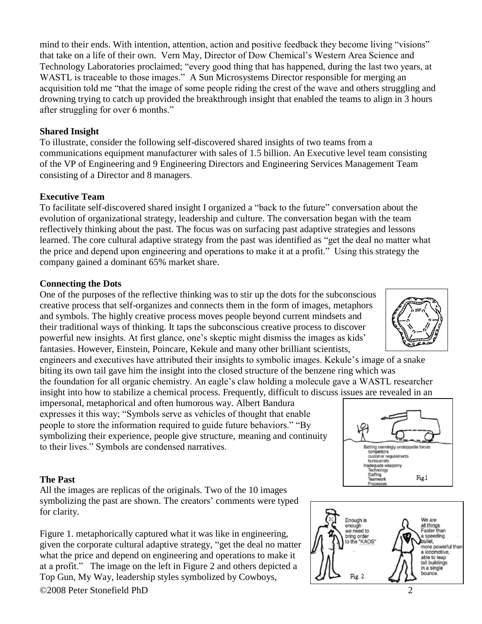mind to their ends. With intention, attention, action and positive feedback they become living "visions" that take on a life of their own. Vern May, Director of Dow Chemical's Western Area Science and Technology Laboratories proclaimed; "every good thing that has happened, during the last two years, at WASTL is traceable to those images." A Sun Microsystems Director responsible for merging an acquisition told me "that the image of some people riding the crest of the wave and others struggling and drowning trying to catch up provided the breakthrough insight that enabled the teams to align in 3 hours after struggling for over 6 months."

### **Shared Insight**

To illustrate, consider the following self-discovered shared insights of two teams from a communications equipment manufacturer with sales of 1.5 billion. An Executive level team consisting of the VP of Engineering and 9 Engineering Directors and Engineering Services Management Team consisting of a Director and 8 managers.

### **Executive Team**

To facilitate self-discovered shared insight I organized a "back to the future" conversation about the evolution of organizational strategy, leadership and culture. The conversation began with the team reflectively thinking about the past. The focus was on surfacing past adaptive strategies and lessons learned. The core cultural adaptive strategy from the past was identified as "get the deal no matter what the price and depend upon engineering and operations to make it at a profit." Using this strategy the company gained a dominant 65% market share.

### **Connecting the Dots**

One of the purposes of the reflective thinking was to stir up the dots for the subconscious creative process that self-organizes and connects them in the form of images, metaphors and symbols. The highly creative process moves people beyond current mindsets and their traditional ways of thinking. It taps the subconscious creative process to discover powerful new insights. At first glance, one's skeptic might dismiss the images as kids' fantasies. However, Einstein, Poincare, Kekule and many other brilliant scientists,

engineers and executives have attributed their insights to symbolic images. Kekule's image of a snake biting its own tail gave him the insight into the closed structure of the benzene ring which was the foundation for all organic chemistry. An eagle's claw holding a molecule gave a WASTL researcher

insight into how to stabilize a chemical process. Frequently, difficult to discuss issues are revealed in an impersonal, metaphorical and often humorous way. Albert Bandura expresses it this way; "Symbols serve as vehicles of thought that enable people to store the information required to guide future behaviors." "By symbolizing their experience, people give structure, meaning and continuity to their lives." Symbols are condensed narratives.

### **The Past**

All the images are replicas of the originals. Two of the 10 images symbolizing the past are shown. The creators' comments were typed for clarity.

©2008 Peter Stonefield PhD 2 Figure 1. metaphorically captured what it was like in engineering, given the corporate cultural adaptive strategy, "get the deal no matter what the price and depend on engineering and operations to make it at a profit." The image on the left in Figure 2 and others depicted a Top Gun, My Way, leadership styles symbolized by Cowboys,





Processes

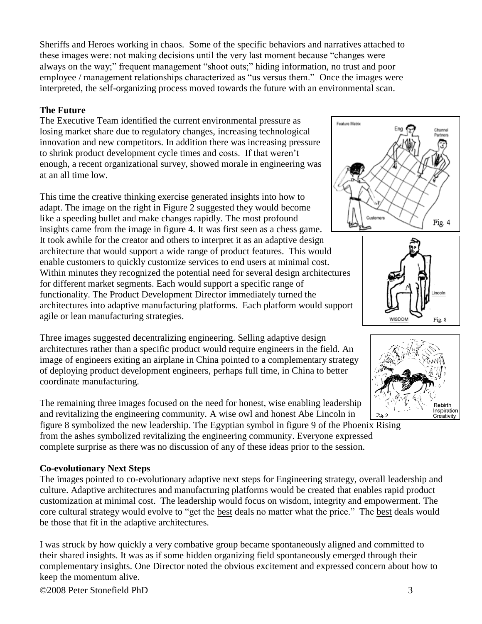Sheriffs and Heroes working in chaos. Some of the specific behaviors and narratives attached to these images were: not making decisions until the very last moment because "changes were always on the way;" frequent management "shoot outs;" hiding information, no trust and poor employee / management relationships characterized as "us versus them." Once the images were interpreted, the self-organizing process moved towards the future with an environmental scan.

### **The Future**

The Executive Team identified the current environmental pressure as losing market share due to regulatory changes, increasing technological innovation and new competitors. In addition there was increasing pressure to shrink product development cycle times and costs. If that weren't enough, a recent organizational survey, showed morale in engineering was at an all time low.

This time the creative thinking exercise generated insights into how to adapt. The image on the right in Figure 2 suggested they would become like a speeding bullet and make changes rapidly. The most profound insights came from the image in figure 4. It was first seen as a chess game. It took awhile for the creator and others to interpret it as an adaptive design architecture that would support a wide range of product features. This would enable customers to quickly customize services to end users at minimal cost. Within minutes they recognized the potential need for several design architectures for different market segments. Each would support a specific range of functionality. The Product Development Director immediately turned the architectures into adaptive manufacturing platforms. Each platform would support agile or lean manufacturing strategies.

Three images suggested decentralizing engineering. Selling adaptive design architectures rather than a specific product would require engineers in the field. An image of engineers exiting an airplane in China pointed to a complementary strategy of deploying product development engineers, perhaps full time, in China to better coordinate manufacturing.

The remaining three images focused on the need for honest, wise enabling leadership and revitalizing the engineering community. A wise owl and honest Abe Lincoln in figure 8 symbolized the new leadership. The Egyptian symbol in figure 9 of the Phoenix Rising from the ashes symbolized revitalizing the engineering community. Everyone expressed

complete surprise as there was no discussion of any of these ideas prior to the session.

### **Co-evolutionary Next Steps**

The images pointed to co-evolutionary adaptive next steps for Engineering strategy, overall leadership and culture. Adaptive architectures and manufacturing platforms would be created that enables rapid product customization at minimal cost. The leadership would focus on wisdom, integrity and empowerment. The core cultural strategy would evolve to "get the best deals no matter what the price." The best deals would be those that fit in the adaptive architectures.

I was struck by how quickly a very combative group became spontaneously aligned and committed to their shared insights. It was as if some hidden organizing field spontaneously emerged through their complementary insights. One Director noted the obvious excitement and expressed concern about how to keep the momentum alive.





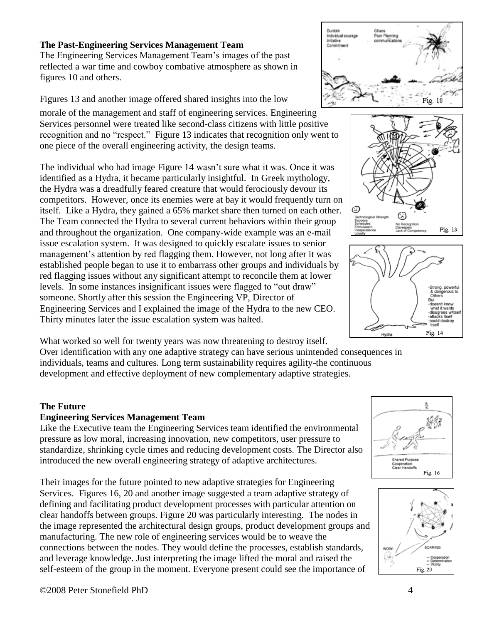# **The Past-Engineering Services Management Team**

The Engineering Services Management Team's images of the past reflected a war time and cowboy combative atmosphere as shown in figures 10 and others.

Figures 13 and another image offered shared insights into the low

morale of the management and staff of engineering services. Engineering Services personnel were treated like second-class citizens with little positive recognition and no "respect." Figure 13 indicates that recognition only went to one piece of the overall engineering activity, the design teams.

The individual who had image Figure 14 wasn't sure what it was. Once it was identified as a Hydra, it became particularly insightful. In Greek mythology, the Hydra was a dreadfully feared creature that would ferociously devour its competitors. However, once its enemies were at bay it would frequently turn on itself. Like a Hydra, they gained a 65% market share then turned on each other. The Team connected the Hydra to several current behaviors within their group and throughout the organization. One company-wide example was an e-mail issue escalation system. It was designed to quickly escalate issues to senior management's attention by red flagging them. However, not long after it was established people began to use it to embarrass other groups and individuals by red flagging issues without any significant attempt to reconcile them at lower levels. In some instances insignificant issues were flagged to "out draw" someone. Shortly after this session the Engineering VP, Director of Engineering Services and I explained the image of the Hydra to the new CEO. Thirty minutes later the issue escalation system was halted.



# **The Future**

# **Engineering Services Management Team**

Like the Executive team the Engineering Services team identified the environmental pressure as low moral, increasing innovation, new competitors, user pressure to standardize, shrinking cycle times and reducing development costs. The Director also introduced the new overall engineering strategy of adaptive architectures.

Their images for the future pointed to new adaptive strategies for Engineering Services. Figures 16, 20 and another image suggested a team adaptive strategy of defining and facilitating product development processes with particular attention on clear handoffs between groups. Figure 20 was particularly interesting. The nodes in the image represented the architectural design groups, product development groups and manufacturing. The new role of engineering services would be to weave the connections between the nodes. They would define the processes, establish standards, and leverage knowledge. Just interpreting the image lifted the moral and raised the self-esteem of the group in the moment. Everyone present could see the importance of









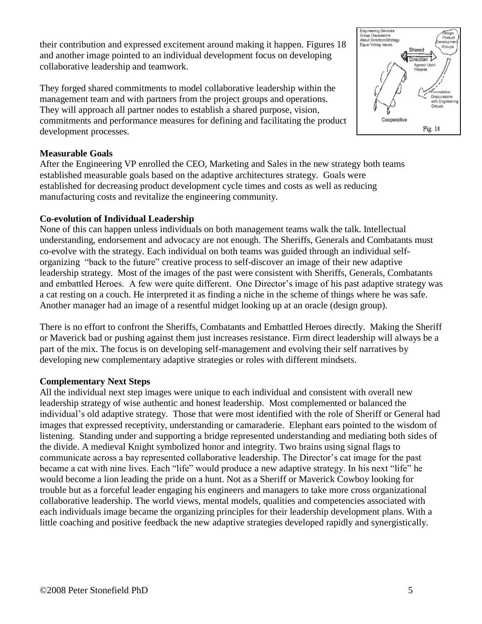their contribution and expressed excitement around making it happen. Figures 18 and another image pointed to an individual development focus on developing collaborative leadership and teamwork.

They forged shared commitments to model collaborative leadership within the management team and with partners from the project groups and operations. They will approach all partner nodes to establish a shared purpose, vision, commitments and performance measures for defining and facilitating the product development processes.

### **Measurable Goals**

After the Engineering VP enrolled the CEO, Marketing and Sales in the new strategy both teams established measurable goals based on the adaptive architectures strategy. Goals were established for decreasing product development cycle times and costs as well as reducing manufacturing costs and revitalize the engineering community.

### **Co-evolution of Individual Leadership**

None of this can happen unless individuals on both management teams walk the talk. Intellectual understanding, endorsement and advocacy are not enough. The Sheriffs, Generals and Combatants must co-evolve with the strategy. Each individual on both teams was guided through an individual selforganizing "back to the future" creative process to self-discover an image of their new adaptive leadership strategy. Most of the images of the past were consistent with Sheriffs, Generals, Combatants and embattled Heroes. A few were quite different. One Director's image of his past adaptive strategy was a cat resting on a couch. He interpreted it as finding a niche in the scheme of things where he was safe. Another manager had an image of a resentful midget looking up at an oracle (design group).

There is no effort to confront the Sheriffs, Combatants and Embattled Heroes directly. Making the Sheriff or Maverick bad or pushing against them just increases resistance. Firm direct leadership will always be a part of the mix. The focus is on developing self-management and evolving their self narratives by developing new complementary adaptive strategies or roles with different mindsets.

#### **Complementary Next Steps**

All the individual next step images were unique to each individual and consistent with overall new leadership strategy of wise authentic and honest leadership. Most complemented or balanced the individual's old adaptive strategy. Those that were most identified with the role of Sheriff or General had images that expressed receptivity, understanding or camaraderie. Elephant ears pointed to the wisdom of listening. Standing under and supporting a bridge represented understanding and mediating both sides of the divide. A medieval Knight symbolized honor and integrity. Two brains using signal flags to communicate across a bay represented collaborative leadership. The Director's cat image for the past became a cat with nine lives. Each "life" would produce a new adaptive strategy. In his next "life" he would become a lion leading the pride on a hunt. Not as a Sheriff or Maverick Cowboy looking for trouble but as a forceful leader engaging his engineers and managers to take more cross organizational collaborative leadership. The world views, mental models, qualities and competencies associated with each individuals image became the organizing principles for their leadership development plans. With a little coaching and positive feedback the new adaptive strategies developed rapidly and synergistically.